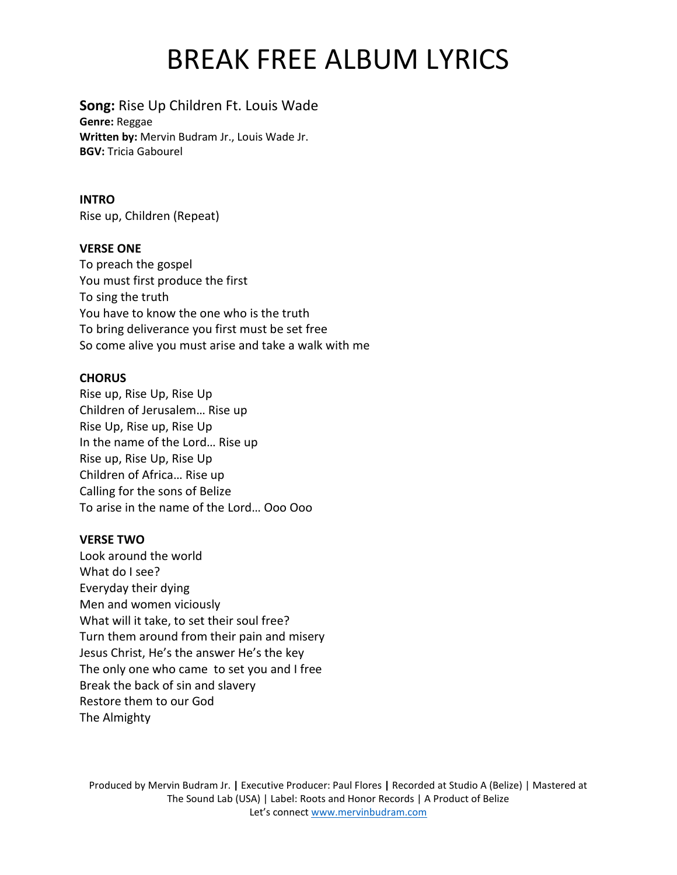# BREAK FREE ALBUM LYRICS

## **Song:** Rise Up Children Ft. Louis Wade

**Genre:** Reggae **Written by:** Mervin Budram Jr., Louis Wade Jr. **BGV:** Tricia Gabourel

### **INTRO**

Rise up, Children (Repeat)

## **VERSE ONE**

To preach the gospel You must first produce the first To sing the truth You have to know the one who is the truth To bring deliverance you first must be set free So come alive you must arise and take a walk with me

## **CHORUS**

Rise up, Rise Up, Rise Up Children of Jerusalem… Rise up Rise Up, Rise up, Rise Up In the name of the Lord… Rise up Rise up, Rise Up, Rise Up Children of Africa… Rise up Calling for the sons of Belize To arise in the name of the Lord… Ooo Ooo

#### **VERSE TWO**

Look around the world What do I see? Everyday their dying Men and women viciously What will it take, to set their soul free? Turn them around from their pain and misery Jesus Christ, He's the answer He's the key The only one who came to set you and I free Break the back of sin and slavery Restore them to our God The Almighty